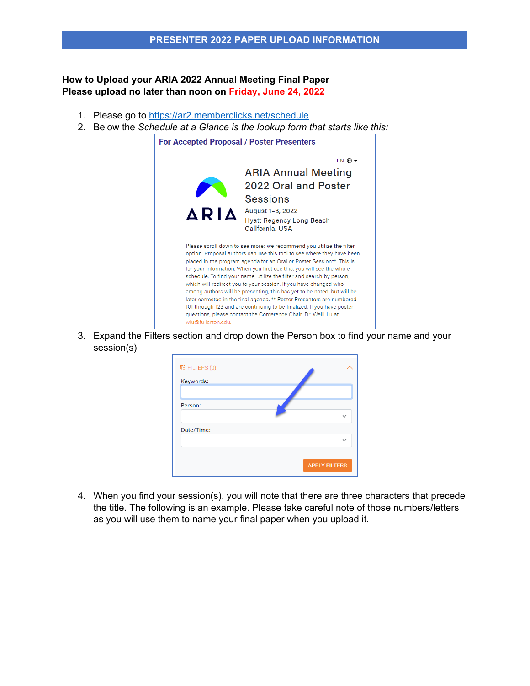## **How to Upload your ARIA 2022 Annual Meeting Final Paper Please upload no later than noon on Friday, June 24, 2022**

- 1. Please go to <https://ar2.memberclicks.net/schedule>
- 2. Below the *Schedule at a Glance is the lookup form that starts like this:*



3. Expand the Filters section and drop down the Person box to find your name and your session(s)

| $\overline{Y}$ : FILTERS (0)<br>Keywords: |                      |
|-------------------------------------------|----------------------|
|                                           |                      |
| Person:                                   | $\checkmark$         |
| Date/Time:                                | $\checkmark$         |
|                                           | <b>APPLY FILTERS</b> |

4. When you find your session(s), you will note that there are three characters that precede the title. The following is an example. Please take careful note of those numbers/letters as you will use them to name your final paper when you upload it.